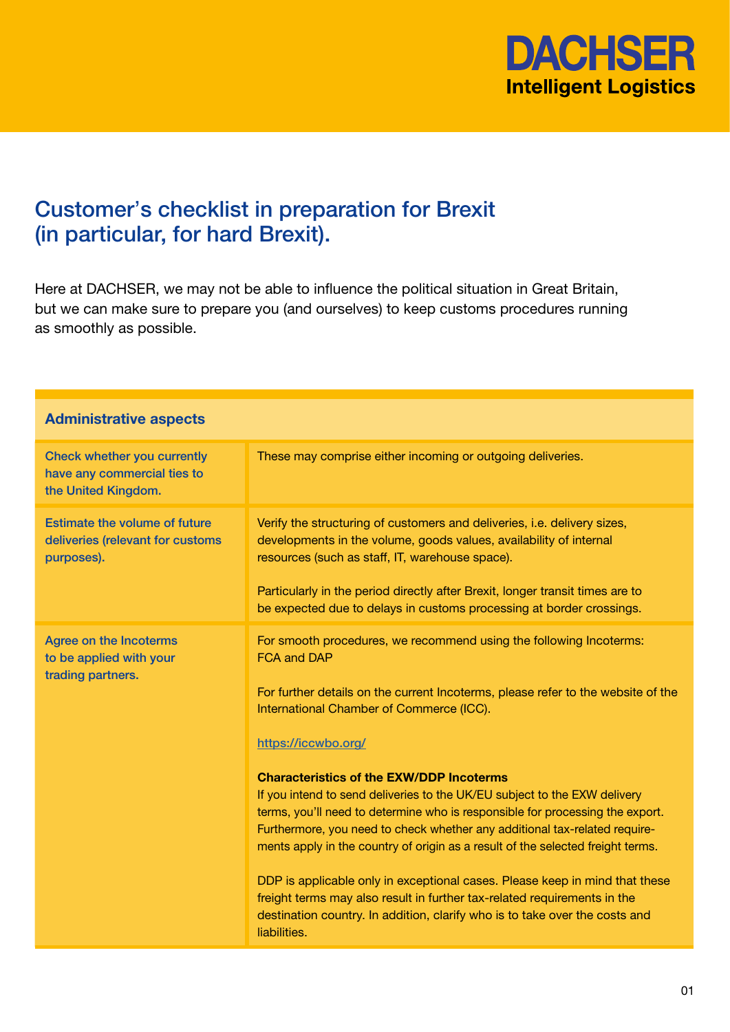

## Customer's checklist in preparation for Brexit (in particular, for hard Brexit).

Here at DACHSER, we may not be able to influence the political situation in Great Britain, but we can make sure to prepare you (and ourselves) to keep customs procedures running as smoothly as possible.

| <b>Administrative aspects</b>                                                          |                                                                                                                                                                                                                                                                                                                                                                                                                                                                                                                                                                                                                                                                                                                                                                                                                                                                                             |  |
|----------------------------------------------------------------------------------------|---------------------------------------------------------------------------------------------------------------------------------------------------------------------------------------------------------------------------------------------------------------------------------------------------------------------------------------------------------------------------------------------------------------------------------------------------------------------------------------------------------------------------------------------------------------------------------------------------------------------------------------------------------------------------------------------------------------------------------------------------------------------------------------------------------------------------------------------------------------------------------------------|--|
| Check whether you currently<br>have any commercial ties to<br>the United Kingdom.      | These may comprise either incoming or outgoing deliveries.                                                                                                                                                                                                                                                                                                                                                                                                                                                                                                                                                                                                                                                                                                                                                                                                                                  |  |
| <b>Estimate the volume of future</b><br>deliveries (relevant for customs<br>purposes). | Verify the structuring of customers and deliveries, i.e. delivery sizes,<br>developments in the volume, goods values, availability of internal<br>resources (such as staff, IT, warehouse space).<br>Particularly in the period directly after Brexit, longer transit times are to<br>be expected due to delays in customs processing at border crossings.                                                                                                                                                                                                                                                                                                                                                                                                                                                                                                                                  |  |
| <b>Agree on the Incoterms</b><br>to be applied with your<br>trading partners.          | For smooth procedures, we recommend using the following Incoterms:<br><b>FCA and DAP</b><br>For further details on the current Incoterms, please refer to the website of the<br>International Chamber of Commerce (ICC).<br>https://iccwbo.org/<br><b>Characteristics of the EXW/DDP Incoterms</b><br>If you intend to send deliveries to the UK/EU subject to the EXW delivery<br>terms, you'll need to determine who is responsible for processing the export.<br>Furthermore, you need to check whether any additional tax-related require-<br>ments apply in the country of origin as a result of the selected freight terms.<br>DDP is applicable only in exceptional cases. Please keep in mind that these<br>freight terms may also result in further tax-related requirements in the<br>destination country. In addition, clarify who is to take over the costs and<br>liabilities. |  |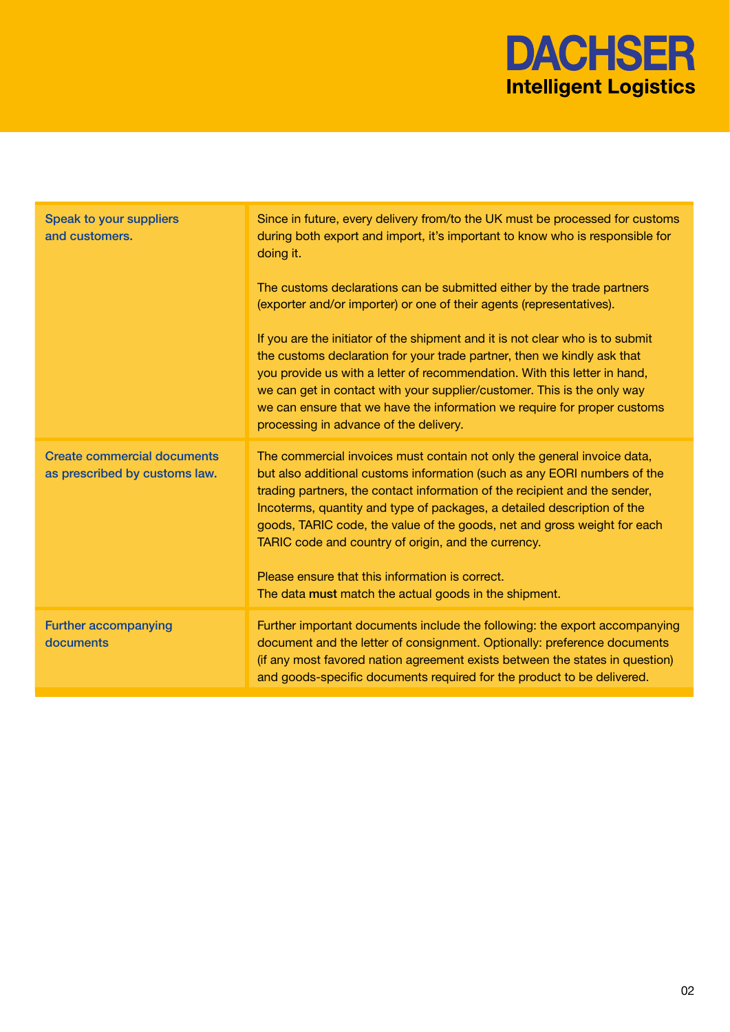

| Speak to your suppliers<br>and customers.                           | Since in future, every delivery from/to the UK must be processed for customs<br>during both export and import, it's important to know who is responsible for<br>doing it.                                                                                                                                                                                                                                                                                                                          |
|---------------------------------------------------------------------|----------------------------------------------------------------------------------------------------------------------------------------------------------------------------------------------------------------------------------------------------------------------------------------------------------------------------------------------------------------------------------------------------------------------------------------------------------------------------------------------------|
|                                                                     | The customs declarations can be submitted either by the trade partners<br>(exporter and/or importer) or one of their agents (representatives).                                                                                                                                                                                                                                                                                                                                                     |
|                                                                     | If you are the initiator of the shipment and it is not clear who is to submit<br>the customs declaration for your trade partner, then we kindly ask that<br>you provide us with a letter of recommendation. With this letter in hand,<br>we can get in contact with your supplier/customer. This is the only way<br>we can ensure that we have the information we require for proper customs<br>processing in advance of the delivery.                                                             |
| <b>Create commercial documents</b><br>as prescribed by customs law. | The commercial invoices must contain not only the general invoice data,<br>but also additional customs information (such as any EORI numbers of the<br>trading partners, the contact information of the recipient and the sender,<br>Incoterms, quantity and type of packages, a detailed description of the<br>goods, TARIC code, the value of the goods, net and gross weight for each<br>TARIC code and country of origin, and the currency.<br>Please ensure that this information is correct. |
|                                                                     | The data must match the actual goods in the shipment.                                                                                                                                                                                                                                                                                                                                                                                                                                              |
| <b>Further accompanying</b><br>documents                            | Further important documents include the following: the export accompanying<br>document and the letter of consignment. Optionally: preference documents<br>(if any most favored nation agreement exists between the states in question)<br>and goods-specific documents required for the product to be delivered.                                                                                                                                                                                   |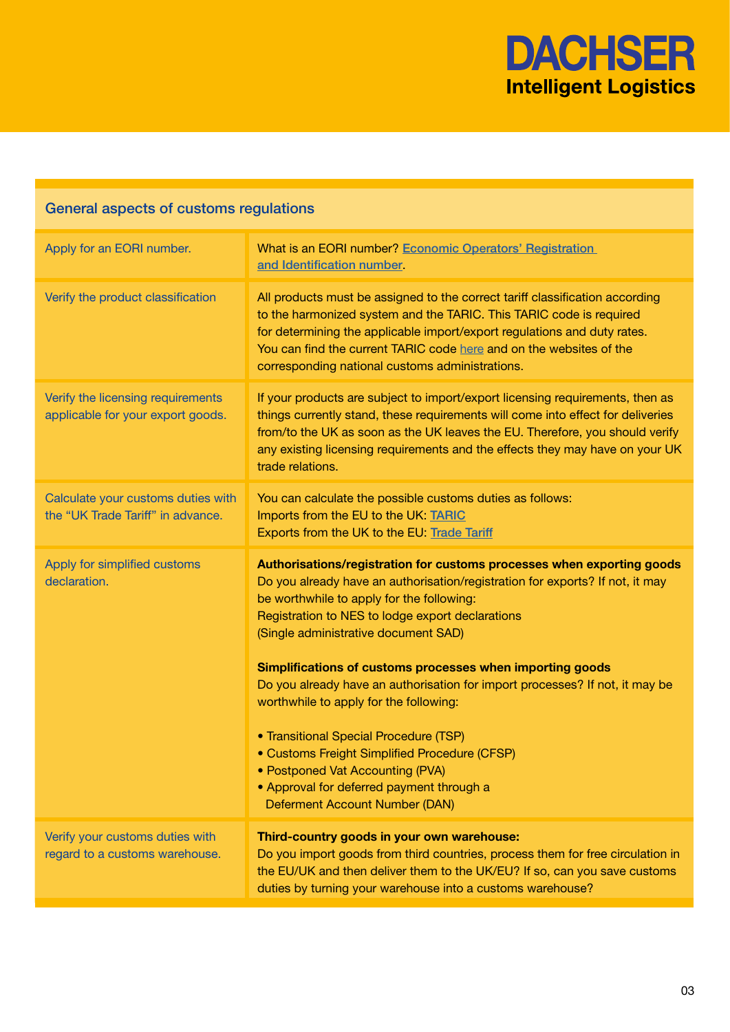

## General aspects of customs regulations

| Apply for an EORI number.                                               | What is an EORI number? Economic Operators' Registration<br>and Identification number.                                                                                                                                                                                                                                                                                                                                                                                                                                                                                                                                                                                                                |
|-------------------------------------------------------------------------|-------------------------------------------------------------------------------------------------------------------------------------------------------------------------------------------------------------------------------------------------------------------------------------------------------------------------------------------------------------------------------------------------------------------------------------------------------------------------------------------------------------------------------------------------------------------------------------------------------------------------------------------------------------------------------------------------------|
| Verify the product classification                                       | All products must be assigned to the correct tariff classification according<br>to the harmonized system and the TARIC. This TARIC code is required<br>for determining the applicable import/export regulations and duty rates.<br>You can find the current TARIC code here and on the websites of the<br>corresponding national customs administrations.                                                                                                                                                                                                                                                                                                                                             |
| Verify the licensing requirements<br>applicable for your export goods.  | If your products are subject to import/export licensing requirements, then as<br>things currently stand, these requirements will come into effect for deliveries<br>from/to the UK as soon as the UK leaves the EU. Therefore, you should verify<br>any existing licensing requirements and the effects they may have on your UK<br>trade relations.                                                                                                                                                                                                                                                                                                                                                  |
| Calculate your customs duties with<br>the "UK Trade Tariff" in advance. | You can calculate the possible customs duties as follows:<br>Imports from the EU to the UK: TARIC<br>Exports from the UK to the EU: Trade Tariff                                                                                                                                                                                                                                                                                                                                                                                                                                                                                                                                                      |
| Apply for simplified customs<br>declaration.                            | Authorisations/registration for customs processes when exporting goods<br>Do you already have an authorisation/registration for exports? If not, it may<br>be worthwhile to apply for the following:<br>Registration to NES to lodge export declarations<br>(Single administrative document SAD)<br>Simplifications of customs processes when importing goods<br>Do you already have an authorisation for import processes? If not, it may be<br>worthwhile to apply for the following:<br>• Transitional Special Procedure (TSP)<br>• Customs Freight Simplified Procedure (CFSP)<br>• Postponed Vat Accounting (PVA)<br>• Approval for deferred payment through a<br>Deferment Account Number (DAN) |
| Verify your customs duties with<br>regard to a customs warehouse.       | Third-country goods in your own warehouse:<br>Do you import goods from third countries, process them for free circulation in<br>the EU/UK and then deliver them to the UK/EU? If so, can you save customs<br>duties by turning your warehouse into a customs warehouse?                                                                                                                                                                                                                                                                                                                                                                                                                               |